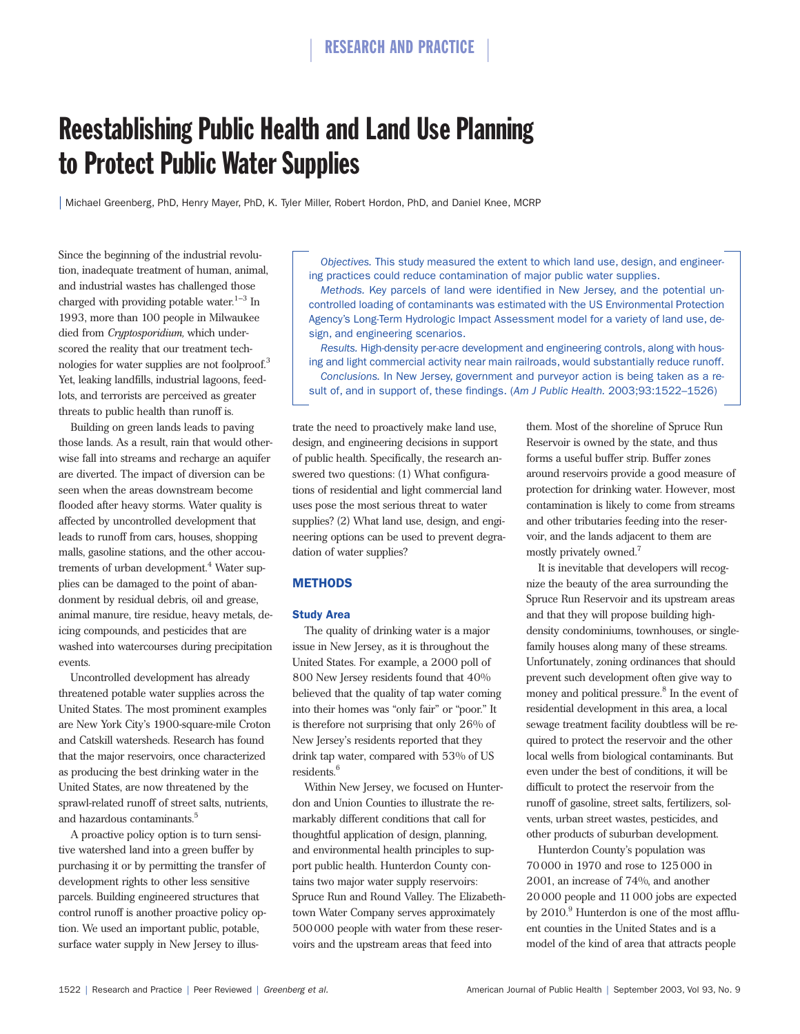# Reestablishing Public Health and Land Use Planning to Protect Public Water Supplies

| Michael Greenberg, PhD, Henry Mayer, PhD, K. Tyler Miller, Robert Hordon, PhD, and Daniel Knee, MCRP

Since the beginning of the industrial revolution, inadequate treatment of human, animal, and industrial wastes has challenged those charged with providing potable water. $1-3$  In 1993, more than 100 people in Milwaukee died from *Cryptosporidium,* which underscored the reality that our treatment technologies for water supplies are not foolproof.<sup>3</sup> Yet, leaking landfills, industrial lagoons, feedlots, and terrorists are perceived as greater threats to public health than runoff is.

Building on green lands leads to paving those lands. As a result, rain that would otherwise fall into streams and recharge an aquifer are diverted. The impact of diversion can be seen when the areas downstream become flooded after heavy storms. Water quality is affected by uncontrolled development that leads to runoff from cars, houses, shopping malls, gasoline stations, and the other accoutrements of urban development.<sup>4</sup> Water supplies can be damaged to the point of abandonment by residual debris, oil and grease, animal manure, tire residue, heavy metals, deicing compounds, and pesticides that are washed into watercourses during precipitation events.

Uncontrolled development has already threatened potable water supplies across the United States. The most prominent examples are New York City's 1900-square-mile Croton and Catskill watersheds. Research has found that the major reservoirs, once characterized as producing the best drinking water in the United States, are now threatened by the sprawl-related runoff of street salts, nutrients, and hazardous contaminants.<sup>5</sup>

A proactive policy option is to turn sensitive watershed land into a green buffer by purchasing it or by permitting the transfer of development rights to other less sensitive parcels. Building engineered structures that control runoff is another proactive policy option. We used an important public, potable, surface water supply in New Jersey to illus-

*Objectives.* This study measured the extent to which land use, design, and engineering practices could reduce contamination of major public water supplies.

*Methods.* Key parcels of land were identified in New Jersey, and the potential uncontrolled loading of contaminants was estimated with the US Environmental Protection Agency's Long-Term Hydrologic Impact Assessment model for a variety of land use, design, and engineering scenarios.

*Results.* High-density per-acre development and engineering controls, along with housing and light commercial activity near main railroads, would substantially reduce runoff.

*Conclusions.* In New Jersey, government and purveyor action is being taken as a result of, and in support of, these findings. (*Am J Public Health.* 2003;93:1522–1526)

trate the need to proactively make land use, design, and engineering decisions in support of public health. Specifically, the research answered two questions: (1) What configurations of residential and light commercial land uses pose the most serious threat to water supplies? (2) What land use, design, and engineering options can be used to prevent degradation of water supplies?

# **METHODS**

# Study Area

The quality of drinking water is a major issue in New Jersey, as it is throughout the United States. For example, a 2000 poll of 800 New Jersey residents found that 40% believed that the quality of tap water coming into their homes was "only fair" or "poor." It is therefore not surprising that only 26% of New Jersey's residents reported that they drink tap water, compared with 53% of US residents.<sup>6</sup>

Within New Jersey, we focused on Hunterdon and Union Counties to illustrate the remarkably different conditions that call for thoughtful application of design, planning, and environmental health principles to support public health. Hunterdon County contains two major water supply reservoirs: Spruce Run and Round Valley. The Elizabethtown Water Company serves approximately 500000 people with water from these reservoirs and the upstream areas that feed into

them. Most of the shoreline of Spruce Run Reservoir is owned by the state, and thus forms a useful buffer strip. Buffer zones around reservoirs provide a good measure of protection for drinking water. However, most contamination is likely to come from streams and other tributaries feeding into the reservoir, and the lands adjacent to them are mostly privately owned.<sup>7</sup>

It is inevitable that developers will recognize the beauty of the area surrounding the Spruce Run Reservoir and its upstream areas and that they will propose building highdensity condominiums, townhouses, or singlefamily houses along many of these streams. Unfortunately, zoning ordinances that should prevent such development often give way to money and political pressure.<sup>8</sup> In the event of residential development in this area, a local sewage treatment facility doubtless will be required to protect the reservoir and the other local wells from biological contaminants. But even under the best of conditions, it will be difficult to protect the reservoir from the runoff of gasoline, street salts, fertilizers, solvents, urban street wastes, pesticides, and other products of suburban development.

Hunterdon County's population was 70000 in 1970 and rose to 125000 in 2001, an increase of 74%, and another 20000 people and 11000 jobs are expected by  $2010<sup>9</sup>$  Hunterdon is one of the most affluent counties in the United States and is a model of the kind of area that attracts people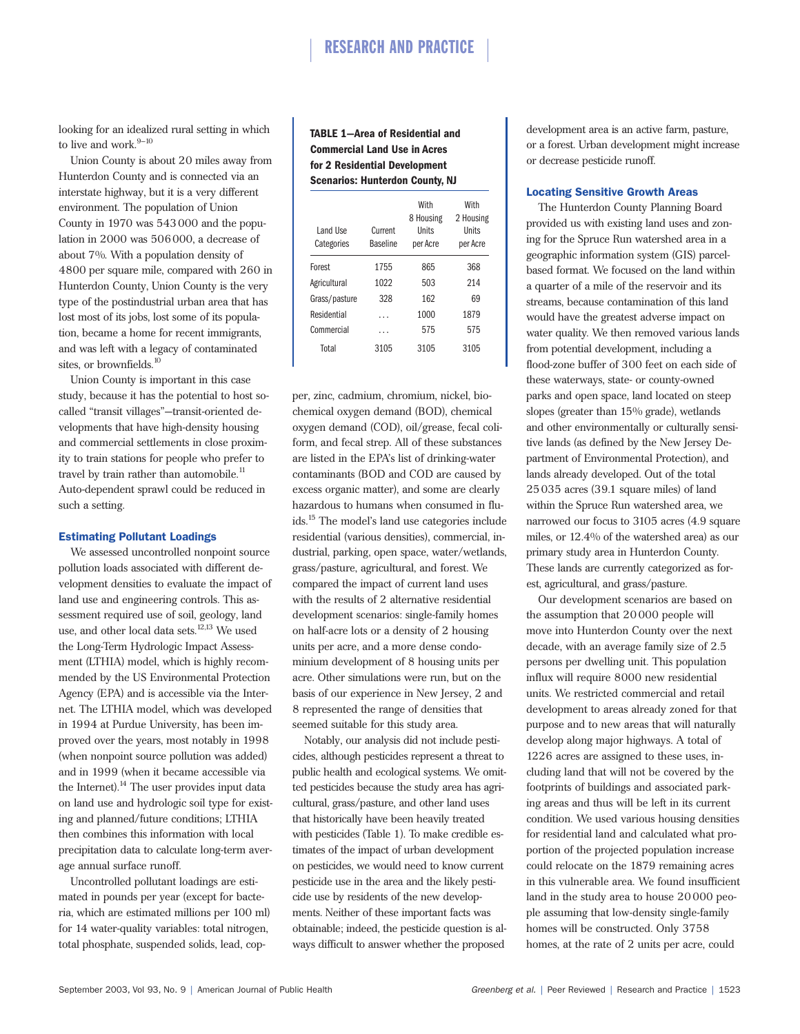looking for an idealized rural setting in which to live and work. $9-10$ 

Union County is about 20 miles away from Hunterdon County and is connected via an interstate highway, but it is a very different environment. The population of Union County in 1970 was 543000 and the population in 2000 was 506000, a decrease of about 7%. With a population density of 4800 per square mile, compared with 260 in Hunterdon County, Union County is the very type of the postindustrial urban area that has lost most of its jobs, lost some of its population, became a home for recent immigrants, and was left with a legacy of contaminated sites, or brownfields.<sup>10</sup>

Union County is important in this case study, because it has the potential to host socalled "transit villages"—transit-oriented developments that have high-density housing and commercial settlements in close proximity to train stations for people who prefer to travel by train rather than automobile.<sup>11</sup> Auto-dependent sprawl could be reduced in such a setting.

#### Estimating Pollutant Loadings

We assessed uncontrolled nonpoint source pollution loads associated with different development densities to evaluate the impact of land use and engineering controls. This assessment required use of soil, geology, land use, and other local data sets.<sup>12,13</sup> We used the Long-Term Hydrologic Impact Assessment (LTHIA) model, which is highly recommended by the US Environmental Protection Agency (EPA) and is accessible via the Internet. The LTHIA model, which was developed in 1994 at Purdue University, has been improved over the years, most notably in 1998 (when nonpoint source pollution was added) and in 1999 (when it became accessible via the Internet). $^{14}$  The user provides input data on land use and hydrologic soil type for existing and planned/future conditions; LTHIA then combines this information with local precipitation data to calculate long-term average annual surface runoff.

Uncontrolled pollutant loadings are estimated in pounds per year (except for bacteria, which are estimated millions per 100 ml) for 14 water-quality variables: total nitrogen, total phosphate, suspended solids, lead, cop**TABLE 1—Area of Residential and Commercial Land Use in Acres for 2 Residential Development Scenarios: Hunterdon County, NJ**

| Land Lise<br>Categories | Current<br><b>Baseline</b> | With<br>8 Housing<br><b>Ilnits</b><br>per Acre | With<br>2 Housing<br><b>Ilnits</b><br>per Acre |  |
|-------------------------|----------------------------|------------------------------------------------|------------------------------------------------|--|
| Forest                  | 1755                       | 865                                            | 368                                            |  |
| Agricultural            | 1022                       | 503                                            | 214                                            |  |
| Grass/pasture           | 328                        | 162                                            | 69                                             |  |
| Residential             | .                          | 1000                                           | 1879                                           |  |
| Commercial              | .                          | 575                                            | 575                                            |  |
| Total                   | 3105                       | 3105                                           | 3105                                           |  |

per, zinc, cadmium, chromium, nickel, biochemical oxygen demand (BOD), chemical oxygen demand (COD), oil/grease, fecal coliform, and fecal strep. All of these substances are listed in the EPA's list of drinking-water contaminants (BOD and COD are caused by excess organic matter), and some are clearly hazardous to humans when consumed in fluids.<sup>15</sup> The model's land use categories include residential (various densities), commercial, industrial, parking, open space, water/wetlands, grass/pasture, agricultural, and forest. We compared the impact of current land uses with the results of 2 alternative residential development scenarios: single-family homes on half-acre lots or a density of 2 housing units per acre, and a more dense condominium development of 8 housing units per acre. Other simulations were run, but on the basis of our experience in New Jersey, 2 and 8 represented the range of densities that seemed suitable for this study area.

Notably, our analysis did not include pesticides, although pesticides represent a threat to public health and ecological systems. We omitted pesticides because the study area has agricultural, grass/pasture, and other land uses that historically have been heavily treated with pesticides (Table 1). To make credible estimates of the impact of urban development on pesticides, we would need to know current pesticide use in the area and the likely pesticide use by residents of the new developments. Neither of these important facts was obtainable; indeed, the pesticide question is always difficult to answer whether the proposed

development area is an active farm, pasture, or a forest. Urban development might increase or decrease pesticide runoff.

# Locating Sensitive Growth Areas

The Hunterdon County Planning Board provided us with existing land uses and zoning for the Spruce Run watershed area in a geographic information system (GIS) parcelbased format. We focused on the land within a quarter of a mile of the reservoir and its streams, because contamination of this land would have the greatest adverse impact on water quality. We then removed various lands from potential development, including a flood-zone buffer of 300 feet on each side of these waterways, state- or county-owned parks and open space, land located on steep slopes (greater than 15% grade), wetlands and other environmentally or culturally sensitive lands (as defined by the New Jersey Department of Environmental Protection), and lands already developed. Out of the total 25035 acres (39.1 square miles) of land within the Spruce Run watershed area, we narrowed our focus to 3105 acres (4.9 square miles, or 12.4% of the watershed area) as our primary study area in Hunterdon County. These lands are currently categorized as forest, agricultural, and grass/pasture.

Our development scenarios are based on the assumption that 20000 people will move into Hunterdon County over the next decade, with an average family size of 2.5 persons per dwelling unit. This population influx will require 8000 new residential units. We restricted commercial and retail development to areas already zoned for that purpose and to new areas that will naturally develop along major highways. A total of 1226 acres are assigned to these uses, including land that will not be covered by the footprints of buildings and associated parking areas and thus will be left in its current condition. We used various housing densities for residential land and calculated what proportion of the projected population increase could relocate on the 1879 remaining acres in this vulnerable area. We found insufficient land in the study area to house 20000 people assuming that low-density single-family homes will be constructed. Only 3758 homes, at the rate of 2 units per acre, could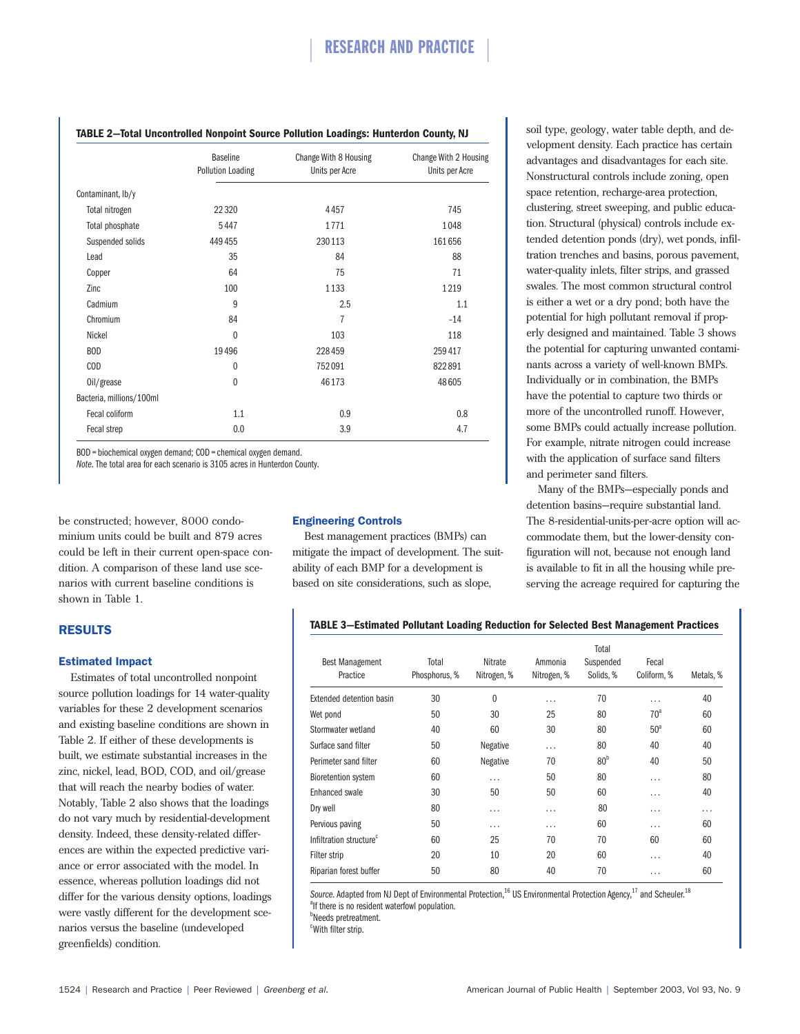# RESEARCH AND PRACTICE

### **TABLE 2—Total Uncontrolled Nonpoint Source Pollution Loadings: Hunterdon County, NJ**

|                          | Baseline<br><b>Pollution Loading</b> | Change With 8 Housing<br>Units per Acre | Change With 2 Housing<br>Units per Acre |  |
|--------------------------|--------------------------------------|-----------------------------------------|-----------------------------------------|--|
| Contaminant, lb/y        |                                      |                                         |                                         |  |
| Total nitrogen           | 22320                                | 4457                                    | 745                                     |  |
| Total phosphate          | 5447                                 | 1771                                    | 1048                                    |  |
| Suspended solids         | 449455                               | 230113                                  | 161656                                  |  |
| Lead                     | 35                                   | 84                                      | 88                                      |  |
| Copper                   | 64                                   | 75                                      | 71                                      |  |
| Zinc                     | 100                                  | 1133                                    | 1219                                    |  |
| Cadmium                  | 9                                    | 2.5                                     | 1.1                                     |  |
| Chromium                 | 84                                   | 7                                       | $-14$                                   |  |
| Nickel                   | $\mathbf{0}$                         | 103                                     | 118                                     |  |
| <b>BOD</b>               | 19496                                | 228459                                  | 259417                                  |  |
| CO <sub>D</sub>          | $\mathbf{0}$                         | 752091                                  | 822891                                  |  |
| Oil/grease               | $\mathbf{0}$                         | 46173                                   | 48605                                   |  |
| Bacteria, millions/100ml |                                      |                                         |                                         |  |
| Fecal coliform           | 1.1                                  | 0.9                                     | 0.8                                     |  |
| Fecal strep              | 0.0                                  | 3.9                                     |                                         |  |

BOD = biochemical oxygen demand; COD = chemical oxygen demand.

*Note.* The total area for each scenario is 3105 acres in Hunterdon County.

be constructed; however, 8000 condominium units could be built and 879 acres could be left in their current open-space condition. A comparison of these land use scenarios with current baseline conditions is shown in Table 1.

# RESULTS

# Estimated Impact

Estimates of total uncontrolled nonpoint source pollution loadings for 14 water-quality variables for these 2 development scenarios and existing baseline conditions are shown in Table 2. If either of these developments is built, we estimate substantial increases in the zinc, nickel, lead, BOD, COD, and oil/grease that will reach the nearby bodies of water. Notably, Table 2 also shows that the loadings do not vary much by residential-development density. Indeed, these density-related differences are within the expected predictive variance or error associated with the model. In essence, whereas pollution loadings did not differ for the various density options, loadings were vastly different for the development scenarios versus the baseline (undeveloped greenfields) condition.

#### Engineering Controls

Best management practices (BMPs) can mitigate the impact of development. The suitability of each BMP for a development is based on site considerations, such as slope,

soil type, geology, water table depth, and development density. Each practice has certain advantages and disadvantages for each site. Nonstructural controls include zoning, open space retention, recharge-area protection, clustering, street sweeping, and public education. Structural (physical) controls include extended detention ponds (dry), wet ponds, infiltration trenches and basins, porous pavement, water-quality inlets, filter strips, and grassed swales. The most common structural control is either a wet or a dry pond; both have the potential for high pollutant removal if properly designed and maintained. Table 3 shows the potential for capturing unwanted contaminants across a variety of well-known BMPs. Individually or in combination, the BMPs have the potential to capture two thirds or more of the uncontrolled runoff. However, some BMPs could actually increase pollution. For example, nitrate nitrogen could increase with the application of surface sand filters and perimeter sand filters.

Many of the BMPs—especially ponds and detention basins—require substantial land. The 8-residential-units-per-acre option will accommodate them, but the lower-density configuration will not, because not enough land is available to fit in all the housing while preserving the acreage required for capturing the

#### **TABLE 3—Estimated Pollutant Loading Reduction for Selected Best Management Practices**

|                                     |               |              |             | Total           |                 |           |
|-------------------------------------|---------------|--------------|-------------|-----------------|-----------------|-----------|
| <b>Best Management</b>              | Total         | Nitrate      | Ammonia     | Suspended       | Fecal           |           |
| Practice                            | Phosphorus, % | Nitrogen, %  | Nitrogen, % | Solids, %       | Coliform, %     | Metals, % |
| Extended detention basin            | 30            | $\mathbf{0}$ | $\cdots$    | 70              | $\cdots$        | 40        |
| Wet pond                            | 50            | 30           | 25          | 80              | 70 <sup>a</sup> | 60        |
| Stormwater wetland                  | 40            | 60           | 30          | 80              | 50 <sup>a</sup> | 60        |
| Surface sand filter                 | 50            | Negative     | .           | 80              | 40              | 40        |
| Perimeter sand filter               | 60            | Negative     | 70          | 80 <sup>b</sup> | 40              | 50        |
| <b>Bioretention system</b>          | 60            | $\cdots$     | 50          | 80              | $\cdots$        | 80        |
| Enhanced swale                      | 30            | 50           | 50          | 60              | $\cdots$        | 40        |
| Dry well                            | 80            | $\cdots$     | .           | 80              | $\cdots$        | .         |
| Pervious paving                     | 50            | .            | $\cdots$    | 60              | $\cdots$        | 60        |
| Infiltration structure <sup>c</sup> | 60            | 25           | 70          | 70              | 60              | 60        |
| Filter strip                        | 20            | 10           | 20          | 60              | $\cdots$        | 40        |
| Riparian forest buffer              | 50            | 80           | 40          | 70              | $\cdots$        | 60        |

Source. Adapted from NJ Dept of Environmental Protection,<sup>16</sup> US Environmental Protection Agency,<sup>17</sup> and Scheuler.<sup>18</sup> <sup>a</sup>lf there is no resident waterfowl population.

<sup>b</sup>Needs pretreatment.

c With filter strip.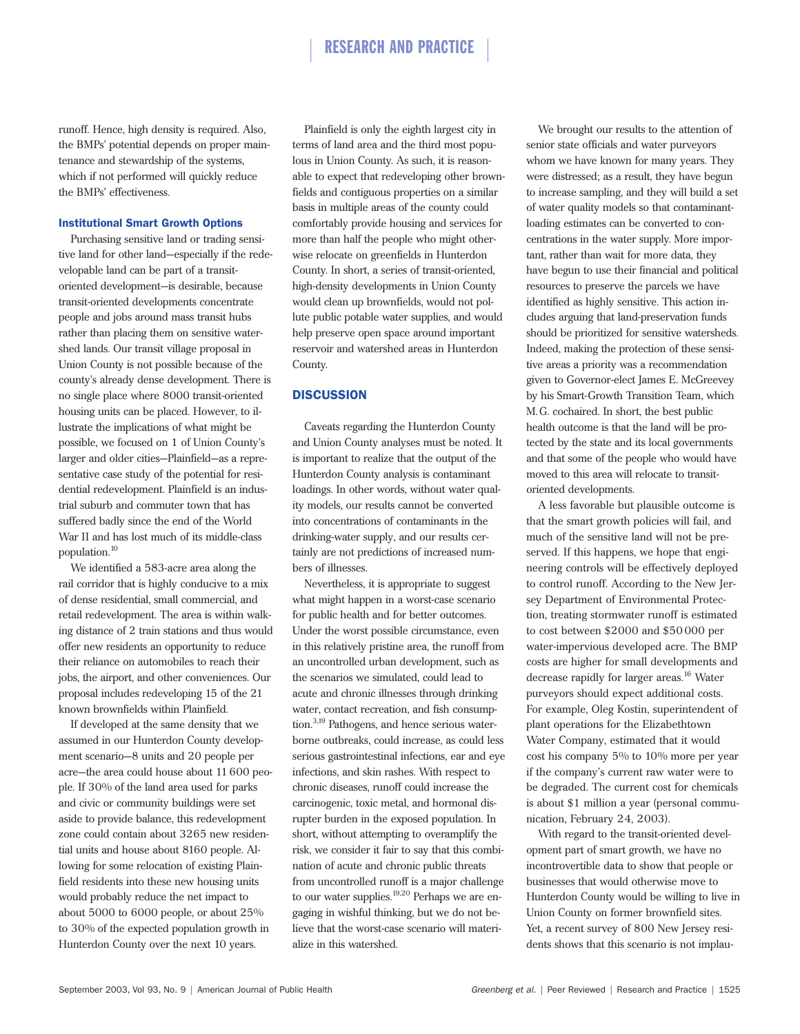# RESEARCH AND PRACTICE

runoff. Hence, high density is required. Also, the BMPs' potential depends on proper maintenance and stewardship of the systems, which if not performed will quickly reduce the BMPs' effectiveness.

#### Institutional Smart Growth Options

Purchasing sensitive land or trading sensitive land for other land—especially if the redevelopable land can be part of a transitoriented development—is desirable, because transit-oriented developments concentrate people and jobs around mass transit hubs rather than placing them on sensitive watershed lands. Our transit village proposal in Union County is not possible because of the county's already dense development. There is no single place where 8000 transit-oriented housing units can be placed. However, to illustrate the implications of what might be possible, we focused on 1 of Union County's larger and older cities—Plainfield—as a representative case study of the potential for residential redevelopment. Plainfield is an industrial suburb and commuter town that has suffered badly since the end of the World War II and has lost much of its middle-class population.<sup>10</sup>

We identified a 583-acre area along the rail corridor that is highly conducive to a mix of dense residential, small commercial, and retail redevelopment. The area is within walking distance of 2 train stations and thus would offer new residents an opportunity to reduce their reliance on automobiles to reach their jobs, the airport, and other conveniences. Our proposal includes redeveloping 15 of the 21 known brownfields within Plainfield.

If developed at the same density that we assumed in our Hunterdon County development scenario—8 units and 20 people per acre—the area could house about 11600 people. If 30% of the land area used for parks and civic or community buildings were set aside to provide balance, this redevelopment zone could contain about 3265 new residential units and house about 8160 people. Allowing for some relocation of existing Plainfield residents into these new housing units would probably reduce the net impact to about 5000 to 6000 people, or about 25% to 30% of the expected population growth in Hunterdon County over the next 10 years.

Plainfield is only the eighth largest city in terms of land area and the third most populous in Union County. As such, it is reasonable to expect that redeveloping other brownfields and contiguous properties on a similar basis in multiple areas of the county could comfortably provide housing and services for more than half the people who might otherwise relocate on greenfields in Hunterdon County. In short, a series of transit-oriented, high-density developments in Union County would clean up brownfields, would not pollute public potable water supplies, and would help preserve open space around important reservoir and watershed areas in Hunterdon County.

# **DISCUSSION**

Caveats regarding the Hunterdon County and Union County analyses must be noted. It is important to realize that the output of the Hunterdon County analysis is contaminant loadings. In other words, without water quality models, our results cannot be converted into concentrations of contaminants in the drinking-water supply, and our results certainly are not predictions of increased numbers of illnesses.

Nevertheless, it is appropriate to suggest what might happen in a worst-case scenario for public health and for better outcomes. Under the worst possible circumstance, even in this relatively pristine area, the runoff from an uncontrolled urban development, such as the scenarios we simulated, could lead to acute and chronic illnesses through drinking water, contact recreation, and fish consumption.<sup>3,19</sup> Pathogens, and hence serious waterborne outbreaks, could increase, as could less serious gastrointestinal infections, ear and eye infections, and skin rashes. With respect to chronic diseases, runoff could increase the carcinogenic, toxic metal, and hormonal disrupter burden in the exposed population. In short, without attempting to overamplify the risk, we consider it fair to say that this combination of acute and chronic public threats from uncontrolled runoff is a major challenge to our water supplies.<sup>19,20</sup> Perhaps we are engaging in wishful thinking, but we do not believe that the worst-case scenario will materialize in this watershed.

We brought our results to the attention of senior state officials and water purveyors whom we have known for many years. They were distressed; as a result, they have begun to increase sampling, and they will build a set of water quality models so that contaminantloading estimates can be converted to concentrations in the water supply. More important, rather than wait for more data, they have begun to use their financial and political resources to preserve the parcels we have identified as highly sensitive. This action includes arguing that land-preservation funds should be prioritized for sensitive watersheds. Indeed, making the protection of these sensitive areas a priority was a recommendation given to Governor-elect James E. McGreevey by his Smart-Growth Transition Team, which M.G. cochaired. In short, the best public health outcome is that the land will be protected by the state and its local governments and that some of the people who would have moved to this area will relocate to transitoriented developments.

A less favorable but plausible outcome is that the smart growth policies will fail, and much of the sensitive land will not be preserved. If this happens, we hope that engineering controls will be effectively deployed to control runoff. According to the New Jersey Department of Environmental Protection, treating stormwater runoff is estimated to cost between \$2000 and \$50 000 per water-impervious developed acre. The BMP costs are higher for small developments and decrease rapidly for larger areas.<sup>16</sup> Water purveyors should expect additional costs. For example, Oleg Kostin, superintendent of plant operations for the Elizabethtown Water Company, estimated that it would cost his company 5% to 10% more per year if the company's current raw water were to be degraded. The current cost for chemicals is about \$1 million a year (personal communication, February 24, 2003).

With regard to the transit-oriented development part of smart growth, we have no incontrovertible data to show that people or businesses that would otherwise move to Hunterdon County would be willing to live in Union County on former brownfield sites. Yet, a recent survey of 800 New Jersey residents shows that this scenario is not implau